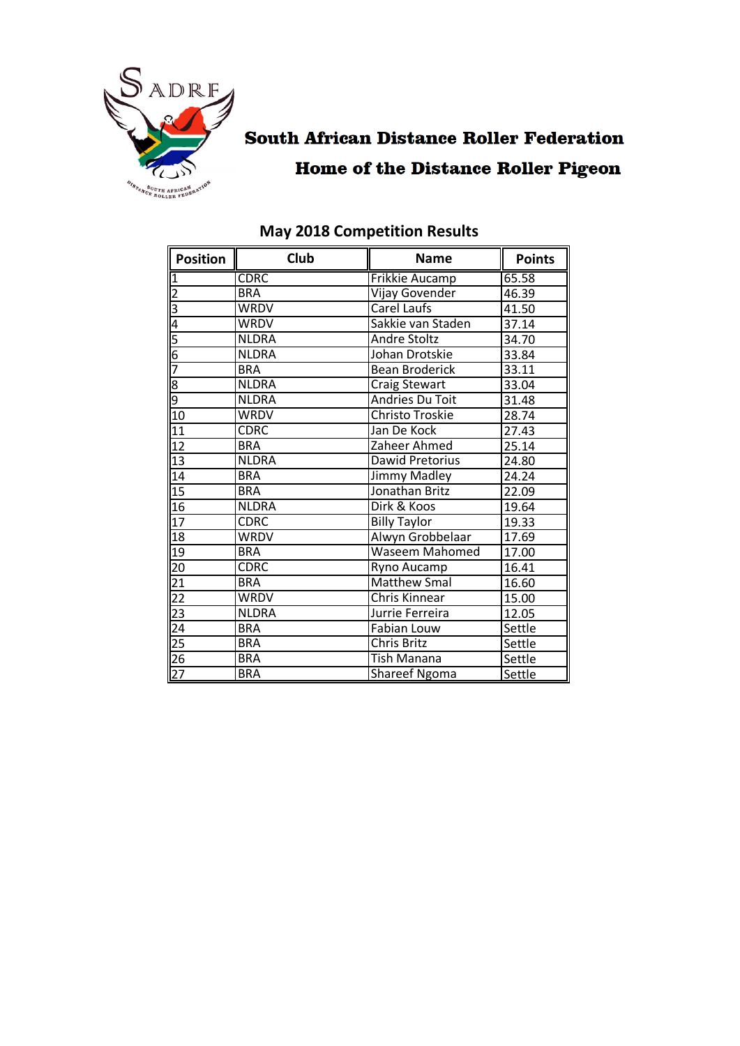

# **South African Distance Roller Federation Home of the Distance Roller Pigeon**

| <b>Position</b> | Club         | <b>Name</b>                  | <b>Points</b> |
|-----------------|--------------|------------------------------|---------------|
| <u>1</u>        | <b>CDRC</b>  | <b>Frikkie Aucamp</b>        | 65.58         |
| $\overline{2}$  | <b>BRA</b>   | Vijay Govender               | 46.39         |
| $\overline{3}$  | <b>WRDV</b>  | Carel Laufs                  | 41.50         |
| 4               | <b>WRDV</b>  | Sakkie van Staden            | 37.14         |
| 5               | <b>NLDRA</b> | <b>Andre Stoltz</b>          | 34.70         |
| 6               | <b>NLDRA</b> | Johan Drotskie               | 33.84         |
| 7               | <b>BRA</b>   | <b>Bean Broderick</b>        | 33.11         |
| 8               | <b>NLDRA</b> | <b>Craig Stewart</b>         | 33.04         |
| 9               | <b>NLDRA</b> | Andries Du Toit              | 31.48         |
| 10              | WRDV         | Christo Troskie              | 28.74         |
| 11              | <b>CDRC</b>  | Jan De Kock                  | 27.43         |
| 12              | <b>BRA</b>   | Zaheer Ahmed                 | 25.14         |
| 13              | <b>NLDRA</b> | Dawid Pretorius              | 24.80         |
| 14              | <b>BRA</b>   | Jimmy Madley                 | 24.24         |
| 15              | <b>BRA</b>   | Jonathan Britz               | 22.09         |
| 16              | <b>NLDRA</b> | Dirk & Koos                  | 19.64         |
| 17              | <b>CDRC</b>  | <b>Billy Taylor</b>          | 19.33         |
| 18              | <b>WRDV</b>  | Alwyn Grobbelaar             | 17.69         |
| 19              | <b>BRA</b>   | <b>Waseem Mahomed</b>        | 17.00         |
| 20              | <b>CDRC</b>  | Ryno Aucamp                  | 16.41         |
| <u>21</u>       | <b>BRA</b>   | <b>Matthew Smal</b>          | 16.60         |
| $\overline{22}$ | <b>WRDV</b>  | <b>Chris Kinnear</b>         | 15.00         |
| 23              | <b>NLDRA</b> | Jurrie Ferreira              | 12.05         |
| 24              | <b>BRA</b>   | Fabian Louw                  | Settle        |
| $\overline{25}$ | <b>BRA</b>   | <b>Chris Britz</b><br>Settle |               |
| $\overline{26}$ | <b>BRA</b>   | Tish Manana                  | Settle        |
| $\overline{27}$ | <b>BRA</b>   | Shareef Ngoma<br>Settle      |               |

## **May 2018 Competition Results**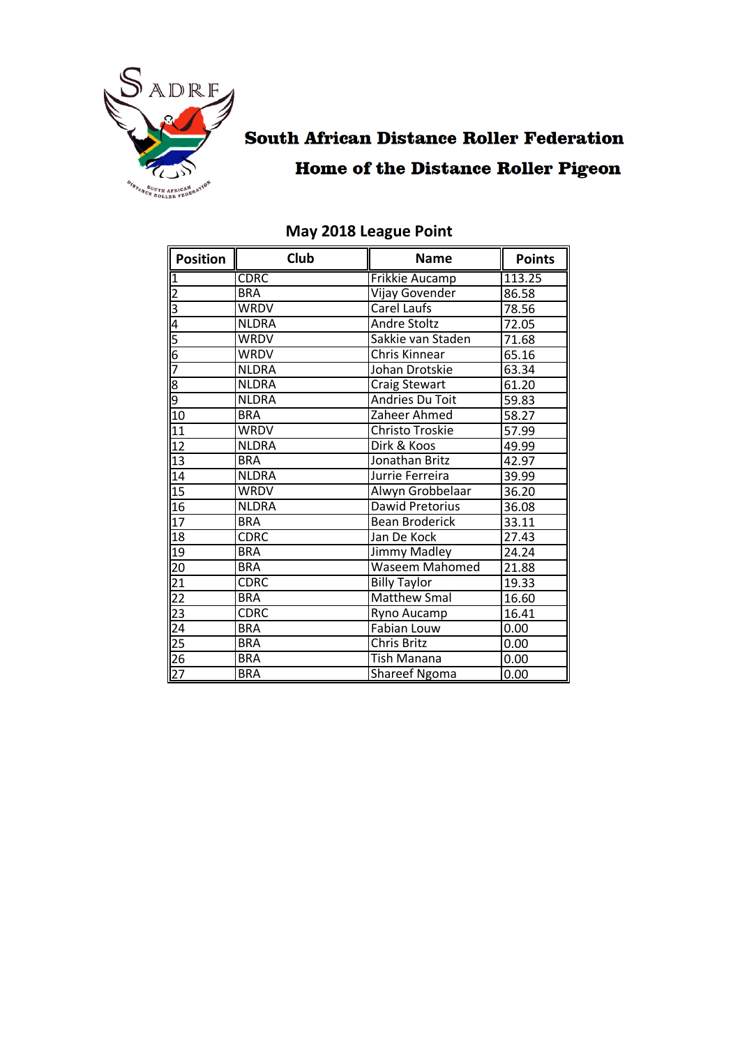

# **South African Distance Roller Federation Home of the Distance Roller Pigeon**

| <b>Position</b>                                         | Club         | <b>Name</b>                  | <b>Points</b> |
|---------------------------------------------------------|--------------|------------------------------|---------------|
|                                                         | <b>CDRC</b>  | Frikkie Aucamp               | 113.25        |
| $\frac{1}{2}$ $\frac{2}{3}$ $\frac{4}{5}$ $\frac{6}{7}$ | <b>BRA</b>   | Vijay Govender               | 86.58         |
|                                                         | <b>WRDV</b>  | Carel Laufs                  | 78.56         |
|                                                         | <b>NLDRA</b> | Andre Stoltz                 | 72.05         |
|                                                         | <b>WRDV</b>  | Sakkie van Staden            | 71.68         |
|                                                         | <b>WRDV</b>  | Chris Kinnear                | 65.16         |
|                                                         | <b>NLDRA</b> | Johan Drotskie               | 63.34         |
| $\frac{8}{9}$                                           | <b>NLDRA</b> | <b>Craig Stewart</b>         | 61.20         |
|                                                         | <b>NLDRA</b> | <b>Andries Du Toit</b>       | 59.83         |
| 10                                                      | <b>BRA</b>   | Zaheer Ahmed                 | 58.27         |
| $\overline{11}$                                         | <b>WRDV</b>  | Christo Troskie              | 57.99         |
| 12                                                      | <b>NLDRA</b> | Dirk & Koos                  | 49.99         |
| 13                                                      | <b>BRA</b>   | Jonathan Britz               | 42.97         |
| 14                                                      | <b>NLDRA</b> | Jurrie Ferreira              | 39.99         |
| 15                                                      | <b>WRDV</b>  | Alwyn Grobbelaar             | 36.20         |
| 16                                                      | <b>NLDRA</b> | <b>Dawid Pretorius</b>       | 36.08         |
| 17                                                      | <b>BRA</b>   | <b>Bean Broderick</b>        | 33.11         |
| 18                                                      | <b>CDRC</b>  | Jan De Kock                  | 27.43         |
| $\overline{19}$                                         | <b>BRA</b>   | <b>Jimmy Madley</b>          | 24.24         |
| 20                                                      | <b>BRA</b>   | <b>Waseem Mahomed</b>        | 21.88         |
|                                                         | <b>CDRC</b>  | <b>Billy Taylor</b>          | 19.33         |
| $\frac{21}{22}$                                         | <b>BRA</b>   | Matthew Smal                 | 16.60         |
|                                                         | <b>CDRC</b>  | Ryno Aucamp                  | 16.41         |
|                                                         | <b>BRA</b>   | <b>Fabian Louw</b>           | 0.00          |
| $\frac{23}{24}$<br>$\frac{24}{25}$<br>$\frac{26}{27}$   | <b>BRA</b>   | <b>Chris Britz</b>           | 0.00          |
|                                                         | <b>BRA</b>   | Tish Manana<br>0.00          |               |
|                                                         | <b>BRA</b>   | <b>Shareef Ngoma</b><br>0.00 |               |

## **May 2018 League Point**